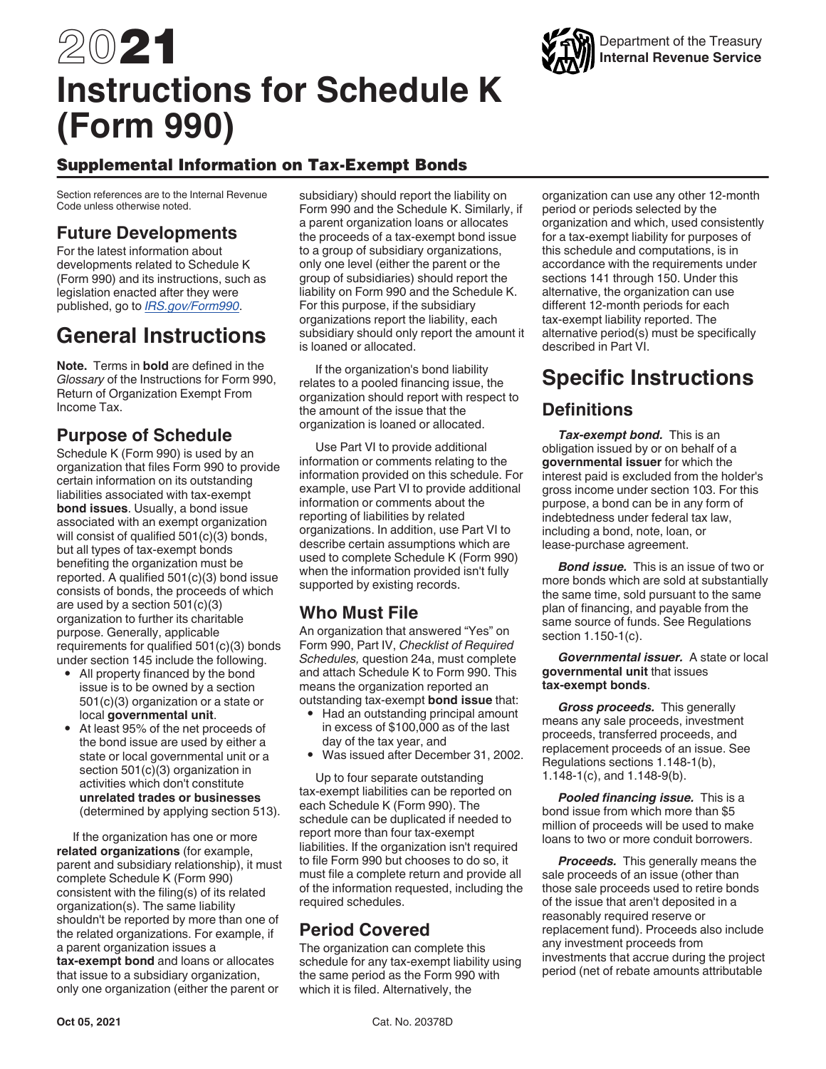# 2021 **Instructions for Schedule K (Form 990)**

## Supplemental Information on Tax-Exempt Bonds

Section references are to the Internal Revenue Code unless otherwise noted.

## **Future Developments**

For the latest information about developments related to Schedule K (Form 990) and its instructions, such as legislation enacted after they were published, go to *[IRS.gov/Form990](https://www.irs.gov/form990)*.

# **General Instructions**

**Note.** Terms in **bold** are defined in the *Glossary* of the Instructions for Form 990, Return of Organization Exempt From Income Tax.

## **Purpose of Schedule**

Schedule K (Form 990) is used by an organization that files Form 990 to provide certain information on its outstanding liabilities associated with tax-exempt **bond issues**. Usually, a bond issue associated with an exempt organization will consist of qualified 501(c)(3) bonds, but all types of tax-exempt bonds benefiting the organization must be reported. A qualified 501(c)(3) bond issue consists of bonds, the proceeds of which are used by a section 501(c)(3) organization to further its charitable purpose. Generally, applicable requirements for qualified 501(c)(3) bonds under section 145 include the following.

- All property financed by the bond issue is to be owned by a section 501(c)(3) organization or a state or local **governmental unit**.
- At least 95% of the net proceeds of the bond issue are used by either a state or local governmental unit or a section 501(c)(3) organization in activities which don't constitute **unrelated trades or businesses**  (determined by applying section 513).

If the organization has one or more **related organizations** (for example, parent and subsidiary relationship), it must complete Schedule K (Form 990) consistent with the filing(s) of its related organization(s). The same liability shouldn't be reported by more than one of the related organizations. For example, if a parent organization issues a **tax-exempt bond** and loans or allocates that issue to a subsidiary organization, only one organization (either the parent or

subsidiary) should report the liability on Form 990 and the Schedule K. Similarly, if a parent organization loans or allocates the proceeds of a tax-exempt bond issue to a group of subsidiary organizations, only one level (either the parent or the group of subsidiaries) should report the liability on Form 990 and the Schedule K. For this purpose, if the subsidiary organizations report the liability, each subsidiary should only report the amount it is loaned or allocated.

If the organization's bond liability relates to a pooled financing issue, the organization should report with respect to the amount of the issue that the organization is loaned or allocated.

Use Part VI to provide additional information or comments relating to the information provided on this schedule. For example, use Part VI to provide additional information or comments about the reporting of liabilities by related organizations. In addition, use Part VI to describe certain assumptions which are used to complete Schedule K (Form 990) when the information provided isn't fully supported by existing records.

## **Who Must File**

An organization that answered "Yes" on Form 990, Part IV, *Checklist of Required Schedules,* question 24a, must complete and attach Schedule K to Form 990. This means the organization reported an outstanding tax-exempt **bond issue** that:

- Had an outstanding principal amount
- in excess of \$100,000 as of the last day of the tax year, and
- Was issued after December 31, 2002.

Up to four separate outstanding tax-exempt liabilities can be reported on each Schedule K (Form 990). The schedule can be duplicated if needed to report more than four tax-exempt liabilities. If the organization isn't required to file Form 990 but chooses to do so, it must file a complete return and provide all of the information requested, including the required schedules.

## **Period Covered**

The organization can complete this schedule for any tax-exempt liability using the same period as the Form 990 with which it is filed. Alternatively, the

organization can use any other 12-month period or periods selected by the organization and which, used consistently for a tax-exempt liability for purposes of this schedule and computations, is in accordance with the requirements under sections 141 through 150. Under this alternative, the organization can use different 12-month periods for each tax-exempt liability reported. The alternative period(s) must be specifically described in Part VI.

## **Specific Instructions**

## **Definitions**

*Tax-exempt bond.* This is an obligation issued by or on behalf of a **governmental issuer** for which the interest paid is excluded from the holder's gross income under section 103. For this purpose, a bond can be in any form of indebtedness under federal tax law, including a bond, note, loan, or lease-purchase agreement.

*Bond issue.* This is an issue of two or more bonds which are sold at substantially the same time, sold pursuant to the same plan of financing, and payable from the same source of funds. See Regulations section 1.150-1(c).

*Governmental issuer.* A state or local **governmental unit** that issues **tax-exempt bonds**.

*Gross proceeds.* This generally means any sale proceeds, investment proceeds, transferred proceeds, and replacement proceeds of an issue. See Regulations sections 1.148-1(b), 1.148-1(c), and 1.148-9(b).

*Pooled financing issue.* This is a bond issue from which more than \$5 million of proceeds will be used to make loans to two or more conduit borrowers.

*Proceeds.* This generally means the sale proceeds of an issue (other than those sale proceeds used to retire bonds of the issue that aren't deposited in a reasonably required reserve or replacement fund). Proceeds also include any investment proceeds from investments that accrue during the project period (net of rebate amounts attributable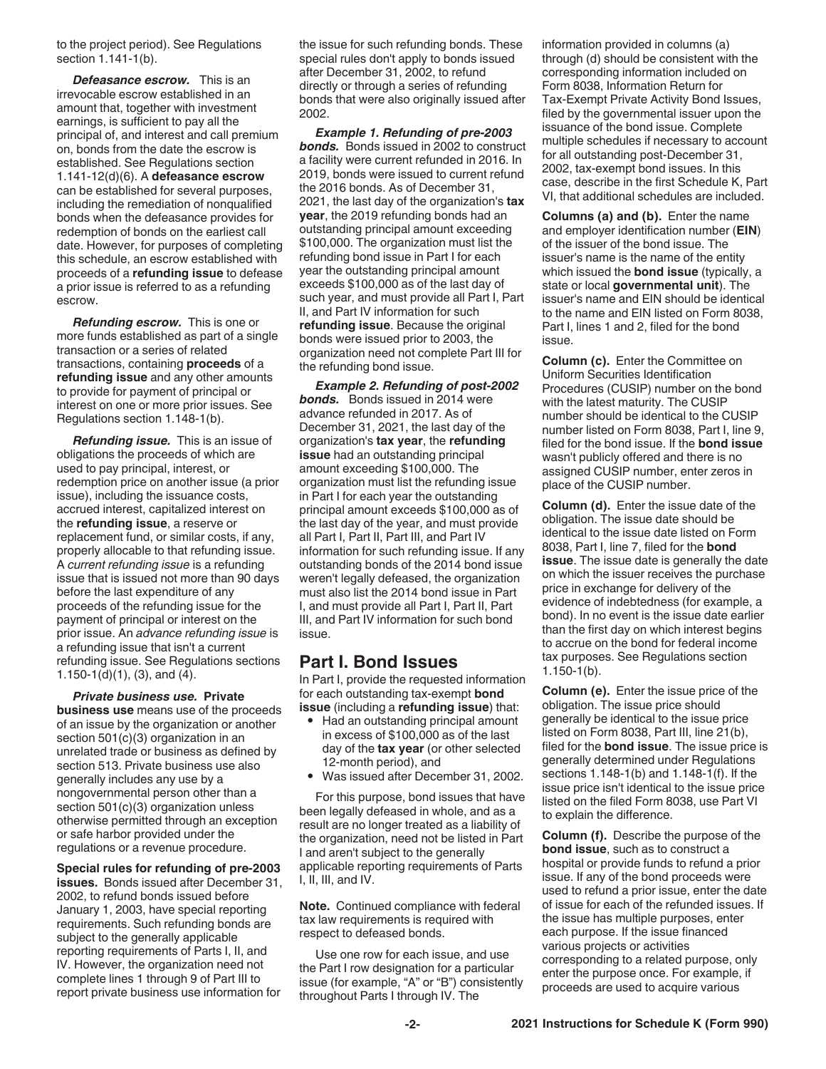to the project period). See Regulations section 1.141-1(b).

*Defeasance escrow.* This is an irrevocable escrow established in an amount that, together with investment earnings, is sufficient to pay all the principal of, and interest and call premium on, bonds from the date the escrow is established. See Regulations section 1.141-12(d)(6). A **defeasance escrow**  can be established for several purposes, including the remediation of nonqualified bonds when the defeasance provides for redemption of bonds on the earliest call date. However, for purposes of completing this schedule, an escrow established with proceeds of a **refunding issue** to defease a prior issue is referred to as a refunding escrow.

*Refunding escrow.* This is one or more funds established as part of a single transaction or a series of related transactions, containing **proceeds** of a **refunding issue** and any other amounts to provide for payment of principal or interest on one or more prior issues. See Regulations section 1.148-1(b).

*Refunding issue.* This is an issue of obligations the proceeds of which are used to pay principal, interest, or redemption price on another issue (a prior issue), including the issuance costs, accrued interest, capitalized interest on the **refunding issue**, a reserve or replacement fund, or similar costs, if any, properly allocable to that refunding issue. A *current refunding issue* is a refunding issue that is issued not more than 90 days before the last expenditure of any proceeds of the refunding issue for the payment of principal or interest on the prior issue. An *advance refunding issue* is a refunding issue that isn't a current refunding issue. See Regulations sections 1.150-1(d)(1), (3), and (4).

*Private business use.* **Private business use** means use of the proceeds of an issue by the organization or another section 501(c)(3) organization in an unrelated trade or business as defined by section 513. Private business use also generally includes any use by a nongovernmental person other than a section 501(c)(3) organization unless otherwise permitted through an exception or safe harbor provided under the regulations or a revenue procedure.

**Special rules for refunding of pre-2003 issues.** Bonds issued after December 31, 2002, to refund bonds issued before January 1, 2003, have special reporting requirements. Such refunding bonds are subject to the generally applicable reporting requirements of Parts I, II, and IV. However, the organization need not complete lines 1 through 9 of Part III to report private business use information for

the issue for such refunding bonds. These special rules don't apply to bonds issued after December 31, 2002, to refund directly or through a series of refunding bonds that were also originally issued after 2002.

*Example 1. Refunding of pre-2003 bonds.* Bonds issued in 2002 to construct a facility were current refunded in 2016. In 2019, bonds were issued to current refund the 2016 bonds. As of December 31, 2021, the last day of the organization's **tax year**, the 2019 refunding bonds had an outstanding principal amount exceeding \$100,000. The organization must list the refunding bond issue in Part I for each year the outstanding principal amount exceeds \$100,000 as of the last day of such year, and must provide all Part I, Part II, and Part IV information for such **refunding issue**. Because the original bonds were issued prior to 2003, the organization need not complete Part III for the refunding bond issue.

*Example 2. Refunding of post-2002 bonds.* Bonds issued in 2014 were advance refunded in 2017. As of December 31, 2021, the last day of the organization's **tax year**, the **refunding issue** had an outstanding principal amount exceeding \$100,000. The organization must list the refunding issue in Part I for each year the outstanding principal amount exceeds \$100,000 as of the last day of the year, and must provide all Part I, Part II, Part III, and Part IV information for such refunding issue. If any outstanding bonds of the 2014 bond issue weren't legally defeased, the organization must also list the 2014 bond issue in Part I, and must provide all Part I, Part II, Part III, and Part IV information for such bond issue.

## **Part I. Bond Issues**

In Part I, provide the requested information for each outstanding tax-exempt **bond issue** (including a **refunding issue**) that:

- Had an outstanding principal amount in excess of \$100,000 as of the last day of the **tax year** (or other selected 12-month period), and
- Was issued after December 31, 2002.

For this purpose, bond issues that have been legally defeased in whole, and as a result are no longer treated as a liability of the organization, need not be listed in Part I and aren't subject to the generally applicable reporting requirements of Parts I, II, III, and IV.

**Note.** Continued compliance with federal tax law requirements is required with respect to defeased bonds.

Use one row for each issue, and use the Part I row designation for a particular issue (for example, "A" or "B") consistently throughout Parts I through IV. The

information provided in columns (a) through (d) should be consistent with the corresponding information included on Form 8038, Information Return for Tax-Exempt Private Activity Bond Issues, filed by the governmental issuer upon the issuance of the bond issue. Complete multiple schedules if necessary to account for all outstanding post-December 31, 2002, tax-exempt bond issues. In this case, describe in the first Schedule K, Part VI, that additional schedules are included.

**Columns (a) and (b).** Enter the name and employer identification number (**EIN**) of the issuer of the bond issue. The issuer's name is the name of the entity which issued the **bond issue** (typically, a state or local **governmental unit**). The issuer's name and EIN should be identical to the name and EIN listed on Form 8038, Part I, lines 1 and 2, filed for the bond issue.

**Column (c).** Enter the Committee on Uniform Securities Identification Procedures (CUSIP) number on the bond with the latest maturity. The CUSIP number should be identical to the CUSIP number listed on Form 8038, Part I, line 9, filed for the bond issue. If the **bond issue**  wasn't publicly offered and there is no assigned CUSIP number, enter zeros in place of the CUSIP number.

**Column (d).** Enter the issue date of the obligation. The issue date should be identical to the issue date listed on Form 8038, Part I, line 7, filed for the **bond issue**. The issue date is generally the date on which the issuer receives the purchase price in exchange for delivery of the evidence of indebtedness (for example, a bond). In no event is the issue date earlier than the first day on which interest begins to accrue on the bond for federal income tax purposes. See Regulations section 1.150-1(b).

**Column (e).** Enter the issue price of the obligation. The issue price should generally be identical to the issue price listed on Form 8038, Part III, line 21(b), filed for the **bond issue**. The issue price is generally determined under Regulations sections 1.148-1(b) and 1.148-1(f). If the issue price isn't identical to the issue price listed on the filed Form 8038, use Part VI to explain the difference.

**Column (f).** Describe the purpose of the **bond issue**, such as to construct a hospital or provide funds to refund a prior issue. If any of the bond proceeds were used to refund a prior issue, enter the date of issue for each of the refunded issues. If the issue has multiple purposes, enter each purpose. If the issue financed various projects or activities corresponding to a related purpose, only enter the purpose once. For example, if proceeds are used to acquire various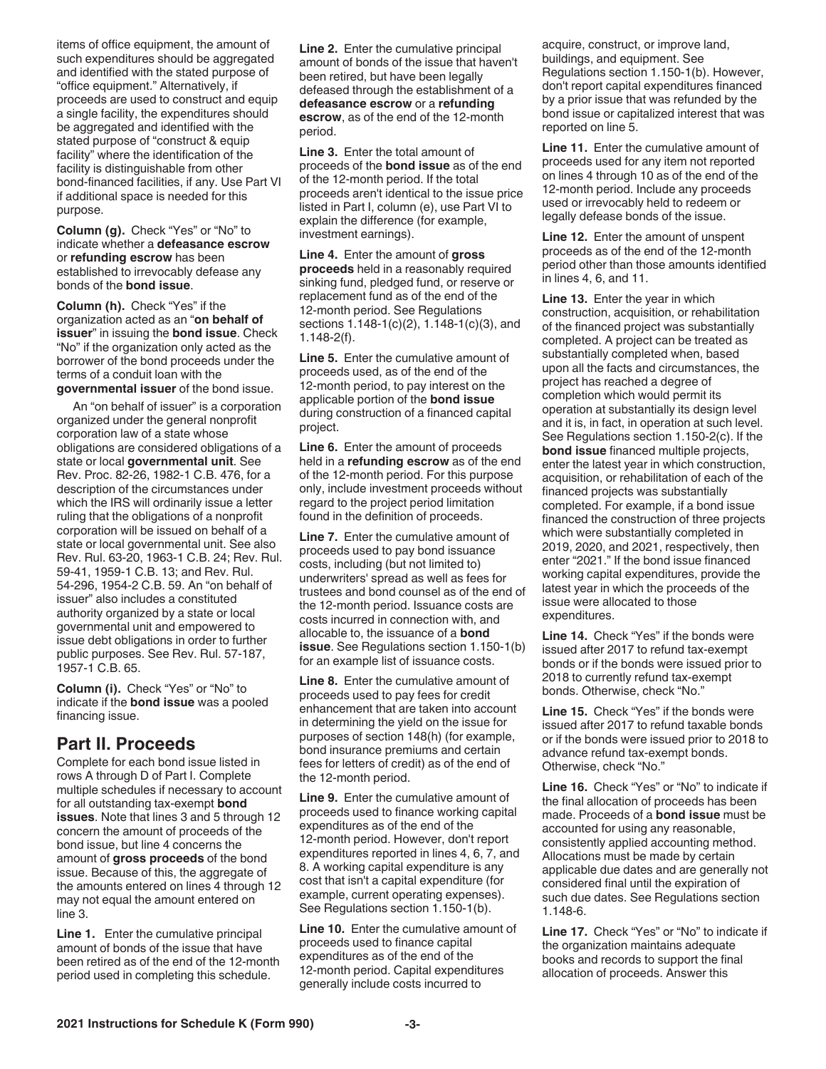items of office equipment, the amount of such expenditures should be aggregated and identified with the stated purpose of "office equipment." Alternatively, if proceeds are used to construct and equip a single facility, the expenditures should be aggregated and identified with the stated purpose of "construct & equip facility" where the identification of the facility is distinguishable from other bond-financed facilities, if any. Use Part VI if additional space is needed for this purpose.

**Column (g).** Check "Yes" or "No" to indicate whether a **defeasance escrow**  or **refunding escrow** has been established to irrevocably defease any bonds of the **bond issue**.

**Column (h).** Check "Yes" if the organization acted as an "**on behalf of issuer**" in issuing the **bond issue**. Check "No" if the organization only acted as the borrower of the bond proceeds under the terms of a conduit loan with the **governmental issuer** of the bond issue.

An "on behalf of issuer" is a corporation organized under the general nonprofit corporation law of a state whose obligations are considered obligations of a state or local **governmental unit**. See Rev. Proc. 82-26, 1982-1 C.B. 476, for a description of the circumstances under which the IRS will ordinarily issue a letter ruling that the obligations of a nonprofit corporation will be issued on behalf of a state or local governmental unit. See also Rev. Rul. 63-20, 1963-1 C.B. 24; Rev. Rul. 59-41, 1959-1 C.B. 13; and Rev. Rul. 54-296, 1954-2 C.B. 59. An "on behalf of issuer" also includes a constituted authority organized by a state or local governmental unit and empowered to issue debt obligations in order to further public purposes. See Rev. Rul. 57-187, 1957-1 C.B. 65.

**Column (i).** Check "Yes" or "No" to indicate if the **bond issue** was a pooled financing issue.

#### **Part II. Proceeds**

Complete for each bond issue listed in rows A through D of Part I. Complete multiple schedules if necessary to account for all outstanding tax-exempt **bond issues**. Note that lines 3 and 5 through 12 concern the amount of proceeds of the bond issue, but line 4 concerns the amount of **gross proceeds** of the bond issue. Because of this, the aggregate of the amounts entered on lines 4 through 12 may not equal the amount entered on line 3.

**Line 1.** Enter the cumulative principal amount of bonds of the issue that have been retired as of the end of the 12-month period used in completing this schedule.

**Line 2.** Enter the cumulative principal amount of bonds of the issue that haven't been retired, but have been legally defeased through the establishment of a **defeasance escrow** or a **refunding escrow**, as of the end of the 12-month period.

**Line 3.** Enter the total amount of proceeds of the **bond issue** as of the end of the 12-month period. If the total proceeds aren't identical to the issue price listed in Part I, column (e), use Part VI to explain the difference (for example, investment earnings).

**Line 4.** Enter the amount of **gross proceeds** held in a reasonably required sinking fund, pledged fund, or reserve or replacement fund as of the end of the 12-month period. See Regulations sections 1.148-1(c)(2), 1.148-1(c)(3), and 1.148-2(f).

**Line 5.** Enter the cumulative amount of proceeds used, as of the end of the 12-month period, to pay interest on the applicable portion of the **bond issue**  during construction of a financed capital project.

**Line 6.** Enter the amount of proceeds held in a **refunding escrow** as of the end of the 12-month period. For this purpose only, include investment proceeds without regard to the project period limitation found in the definition of proceeds.

**Line 7.** Enter the cumulative amount of proceeds used to pay bond issuance costs, including (but not limited to) underwriters' spread as well as fees for trustees and bond counsel as of the end of the 12-month period. Issuance costs are costs incurred in connection with, and allocable to, the issuance of a **bond issue**. See Regulations section 1.150-1(b) for an example list of issuance costs.

**Line 8.** Enter the cumulative amount of proceeds used to pay fees for credit enhancement that are taken into account in determining the yield on the issue for purposes of section 148(h) (for example, bond insurance premiums and certain fees for letters of credit) as of the end of the 12-month period.

**Line 9.** Enter the cumulative amount of proceeds used to finance working capital expenditures as of the end of the 12-month period. However, don't report expenditures reported in lines 4, 6, 7, and 8. A working capital expenditure is any cost that isn't a capital expenditure (for example, current operating expenses). See Regulations section 1.150-1(b).

**Line 10.** Enter the cumulative amount of proceeds used to finance capital expenditures as of the end of the 12-month period. Capital expenditures generally include costs incurred to

acquire, construct, or improve land, buildings, and equipment. See Regulations section 1.150-1(b). However, don't report capital expenditures financed by a prior issue that was refunded by the bond issue or capitalized interest that was reported on line 5.

**Line 11.** Enter the cumulative amount of proceeds used for any item not reported on lines 4 through 10 as of the end of the 12-month period. Include any proceeds used or irrevocably held to redeem or legally defease bonds of the issue.

**Line 12.** Enter the amount of unspent proceeds as of the end of the 12-month period other than those amounts identified in lines 4, 6, and 11.

**Line 13.** Enter the year in which construction, acquisition, or rehabilitation of the financed project was substantially completed. A project can be treated as substantially completed when, based upon all the facts and circumstances, the project has reached a degree of completion which would permit its operation at substantially its design level and it is, in fact, in operation at such level. See Regulations section 1.150-2(c). If the **bond issue** financed multiple projects, enter the latest year in which construction, acquisition, or rehabilitation of each of the financed projects was substantially completed. For example, if a bond issue financed the construction of three projects which were substantially completed in 2019, 2020, and 2021, respectively, then enter "2021." If the bond issue financed working capital expenditures, provide the latest year in which the proceeds of the issue were allocated to those expenditures.

**Line 14.** Check "Yes" if the bonds were issued after 2017 to refund tax-exempt bonds or if the bonds were issued prior to 2018 to currently refund tax-exempt bonds. Otherwise, check "No."

**Line 15.** Check "Yes" if the bonds were issued after 2017 to refund taxable bonds or if the bonds were issued prior to 2018 to advance refund tax-exempt bonds. Otherwise, check "No."

**Line 16.** Check "Yes" or "No" to indicate if the final allocation of proceeds has been made. Proceeds of a **bond issue** must be accounted for using any reasonable, consistently applied accounting method. Allocations must be made by certain applicable due dates and are generally not considered final until the expiration of such due dates. See Regulations section 1.148-6.

**Line 17.** Check "Yes" or "No" to indicate if the organization maintains adequate books and records to support the final allocation of proceeds. Answer this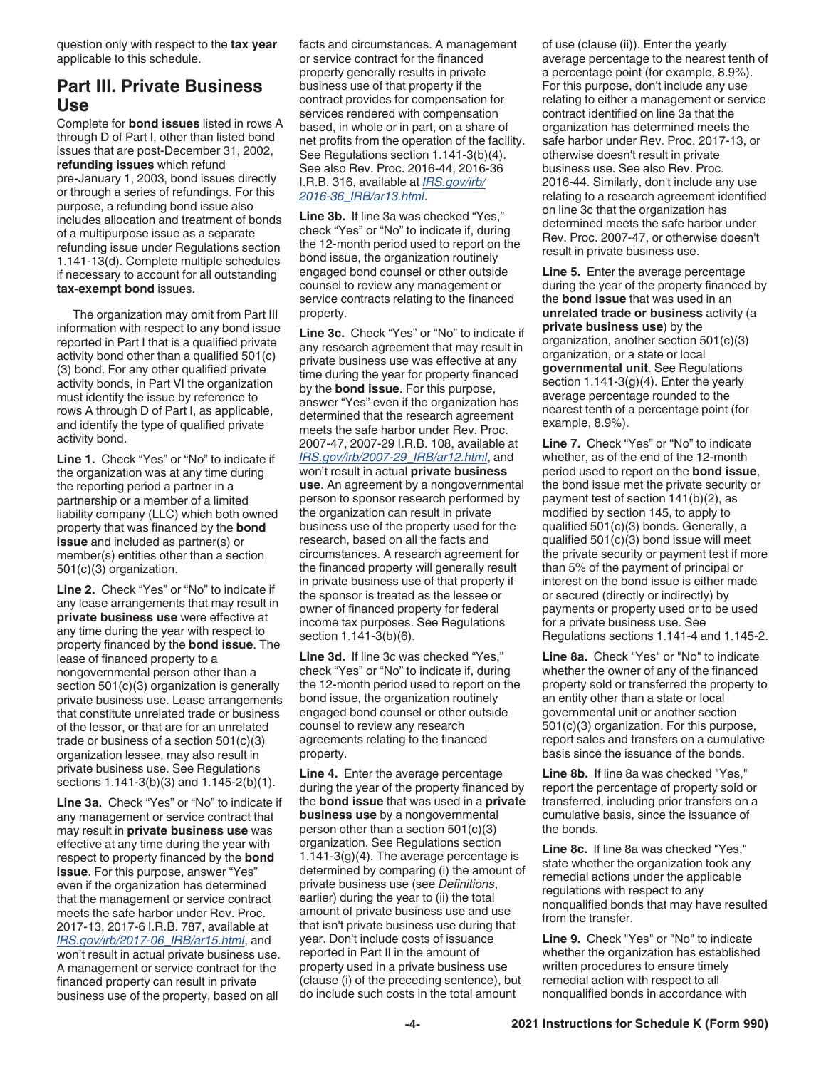question only with respect to the **tax year**  applicable to this schedule.

#### **Part III. Private Business Use**

Complete for **bond issues** listed in rows A through D of Part I, other than listed bond issues that are post-December 31, 2002, **refunding issues** which refund pre-January 1, 2003, bond issues directly or through a series of refundings. For this purpose, a refunding bond issue also includes allocation and treatment of bonds of a multipurpose issue as a separate refunding issue under Regulations section 1.141-13(d). Complete multiple schedules if necessary to account for all outstanding **tax-exempt bond** issues.

The organization may omit from Part III information with respect to any bond issue reported in Part I that is a qualified private activity bond other than a qualified 501(c) (3) bond. For any other qualified private activity bonds, in Part VI the organization must identify the issue by reference to rows A through D of Part I, as applicable, and identify the type of qualified private activity bond.

**Line 1.** Check "Yes" or "No" to indicate if the organization was at any time during the reporting period a partner in a partnership or a member of a limited liability company (LLC) which both owned property that was financed by the **bond issue** and included as partner(s) or member(s) entities other than a section 501(c)(3) organization.

**Line 2.** Check "Yes" or "No" to indicate if any lease arrangements that may result in **private business use** were effective at any time during the year with respect to property financed by the **bond issue**. The lease of financed property to a nongovernmental person other than a section 501(c)(3) organization is generally private business use. Lease arrangements that constitute unrelated trade or business of the lessor, or that are for an unrelated trade or business of a section 501(c)(3) organization lessee, may also result in private business use. See Regulations sections 1.141-3(b)(3) and 1.145-2(b)(1).

**Line 3a.** Check "Yes" or "No" to indicate if any management or service contract that may result in **private business use** was effective at any time during the year with respect to property financed by the **bond issue**. For this purpose, answer "Yes" even if the organization has determined that the management or service contract meets the safe harbor under Rev. Proc. 2017-13, 2017-6 I.R.B. 787, available at *[IRS.gov/irb/2017-06\\_IRB/ar15.html](https://www.irs.gov/irb/2017-06_IRB/ar15.html)*, and won't result in actual private business use. A management or service contract for the financed property can result in private business use of the property, based on all

facts and circumstances. A management or service contract for the financed property generally results in private business use of that property if the contract provides for compensation for services rendered with compensation based, in whole or in part, on a share of net profits from the operation of the facility. See Regulations section 1.141-3(b)(4). See also Rev. Proc. 2016-44, 2016-36 I.R.B. 316, available at *[IRS.gov/irb/](https://www.irs.gov/irb/2016-36_IRB/ar13.html) [2016-36\\_IRB/ar13.html](https://www.irs.gov/irb/2016-36_IRB/ar13.html)*.

**Line 3b.** If line 3a was checked "Yes," check "Yes" or "No" to indicate if, during the 12-month period used to report on the bond issue, the organization routinely engaged bond counsel or other outside counsel to review any management or service contracts relating to the financed property.

**Line 3c.** Check "Yes" or "No" to indicate if any research agreement that may result in private business use was effective at any time during the year for property financed by the **bond issue**. For this purpose, answer "Yes" even if the organization has determined that the research agreement meets the safe harbor under Rev. Proc. 2007-47, 2007-29 I.R.B. 108, available at *[IRS.gov/irb/2007-29\\_IRB/ar12.html](https://www.irs.gov/irb/2007-29_IRB/ar12.html)*, and won't result in actual **private business use**. An agreement by a nongovernmental person to sponsor research performed by the organization can result in private business use of the property used for the research, based on all the facts and circumstances. A research agreement for the financed property will generally result in private business use of that property if the sponsor is treated as the lessee or owner of financed property for federal income tax purposes. See Regulations section 1.141-3(b)(6).

**Line 3d.** If line 3c was checked "Yes," check "Yes" or "No" to indicate if, during the 12-month period used to report on the bond issue, the organization routinely engaged bond counsel or other outside counsel to review any research agreements relating to the financed property.

**Line 4.** Enter the average percentage during the year of the property financed by the **bond issue** that was used in a **private business use** by a nongovernmental person other than a section 501(c)(3) organization. See Regulations section 1.141-3(g)(4). The average percentage is determined by comparing (i) the amount of private business use (see *Definitions*, earlier) during the year to (ii) the total amount of private business use and use that isn't private business use during that year. Don't include costs of issuance reported in Part II in the amount of property used in a private business use (clause (i) of the preceding sentence), but do include such costs in the total amount

of use (clause (ii)). Enter the yearly average percentage to the nearest tenth of a percentage point (for example, 8.9%). For this purpose, don't include any use relating to either a management or service contract identified on line 3a that the organization has determined meets the safe harbor under Rev. Proc. 2017-13, or otherwise doesn't result in private business use. See also Rev. Proc. 2016-44. Similarly, don't include any use relating to a research agreement identified on line 3c that the organization has determined meets the safe harbor under Rev. Proc. 2007-47, or otherwise doesn't result in private business use.

**Line 5.** Enter the average percentage during the year of the property financed by the **bond issue** that was used in an **unrelated trade or business** activity (a **private business use**) by the organization, another section 501(c)(3) organization, or a state or local **governmental unit**. See Regulations section 1.141-3(g)(4). Enter the yearly average percentage rounded to the nearest tenth of a percentage point (for example, 8.9%).

**Line 7.** Check "Yes" or "No" to indicate whether, as of the end of the 12-month period used to report on the **bond issue**, the bond issue met the private security or payment test of section 141(b)(2), as modified by section 145, to apply to qualified 501(c)(3) bonds. Generally, a qualified 501(c)(3) bond issue will meet the private security or payment test if more than 5% of the payment of principal or interest on the bond issue is either made or secured (directly or indirectly) by payments or property used or to be used for a private business use. See Regulations sections 1.141-4 and 1.145-2.

**Line 8a.** Check "Yes" or "No" to indicate whether the owner of any of the financed property sold or transferred the property to an entity other than a state or local governmental unit or another section 501(c)(3) organization. For this purpose, report sales and transfers on a cumulative basis since the issuance of the bonds.

**Line 8b.** If line 8a was checked "Yes," report the percentage of property sold or transferred, including prior transfers on a cumulative basis, since the issuance of the bonds.

**Line 8c.** If line 8a was checked "Yes," state whether the organization took any remedial actions under the applicable regulations with respect to any nonqualified bonds that may have resulted from the transfer.

**Line 9.** Check "Yes" or "No" to indicate whether the organization has established written procedures to ensure timely remedial action with respect to all nonqualified bonds in accordance with